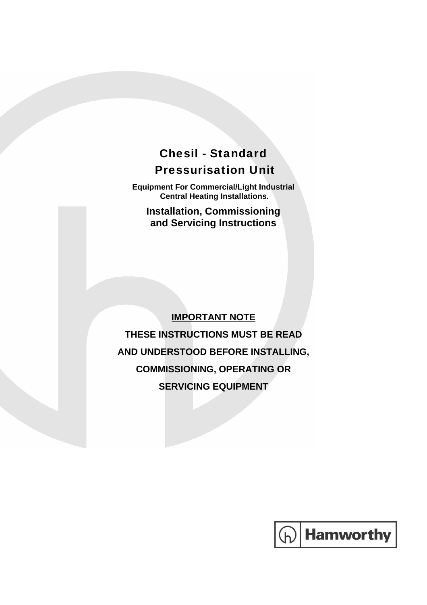# Chesil - Standard Pressurisation Unit

**Equipment For Commercial/Light Industrial Central Heating Installations.** 

**Installation, Commissioning and Servicing Instructions** 

### **IMPORTANT NOTE**

**THESE INSTRUCTIONS MUST BE READ AND UNDERSTOOD BEFORE INSTALLING, COMMISSIONING, OPERATING OR SERVICING EQUIPMENT** 

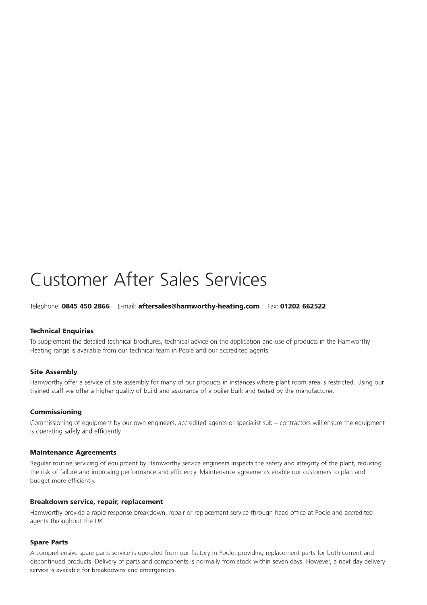# **Customer After Sales Services**

Telephone: 0845 450 2866 E-mail: aftersales@hamworthy-heating.com Fax: 01202 662522

#### **Technical Enquiries**

To supplement the detailed technical brochures, technical advice on the application and use of products in the Hamworthy Heating range is available from our technical team in Poole and our accredited agents.

#### **Site Assembly**

Hamworthy offer a service of site assembly for many of our products in instances where plant room area is restricted. Using our trained staff we offer a higher quality of build and assurance of a boiler built and tested by the manufacturer.

#### Commissioning

Commissioning of equipment by our own engineers, accredited agents or specialist sub - contractors will ensure the equipment is operating safely and efficiently.

#### **Maintenance Agreements**

Regular routine servicing of equipment by Hamworthy service engineers inspects the safety and integrity of the plant, reducing the risk of failure and improving performance and efficiency. Maintenance agreements enable our customers to plan and budget more efficiently.

#### Breakdown service, repair, replacement

Hamworthy provide a rapid response breakdown, repair or replacement service through head office at Poole and accredited agents throughout the UK.

#### **Spare Parts**

A comprehensive spare parts service is operated from our factory in Poole, providing replacement parts for both current and discontinued products. Delivery of parts and components is normally from stock within seven days. However, a next day delivery service is available for breakdowns and emergencies.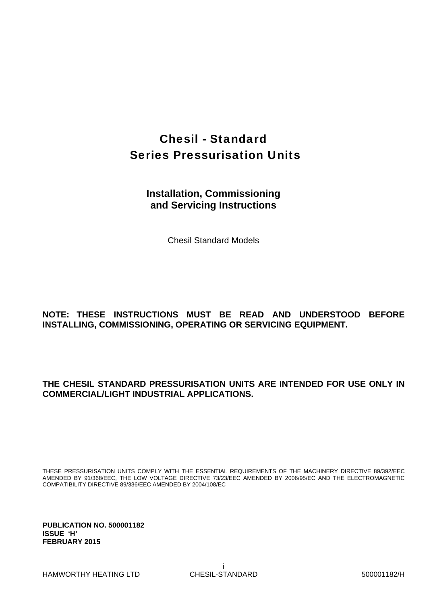# Chesil - Standard Series Pressurisation Units

### **Installation, Commissioning and Servicing Instructions**

Chesil Standard Models

#### **NOTE: THESE INSTRUCTIONS MUST BE READ AND UNDERSTOOD BEFORE INSTALLING, COMMISSIONING, OPERATING OR SERVICING EQUIPMENT.**

#### **THE CHESIL STANDARD PRESSURISATION UNITS ARE INTENDED FOR USE ONLY IN COMMERCIAL/LIGHT INDUSTRIAL APPLICATIONS.**

THESE PRESSURISATION UNITS COMPLY WITH THE ESSENTIAL REQUIREMENTS OF THE MACHINERY DIRECTIVE 89/392/EEC AMENDED BY 91/368/EEC, THE LOW VOLTAGE DIRECTIVE 73/23/EEC AMENDED BY 2006/95/EC AND THE ELECTROMAGNETIC COMPATIBILITY DIRECTIVE 89/336/EEC AMENDED BY 2004/108/EC

**PUBLICATION NO. 500001182 ISSUE 'H' FEBRUARY 2015**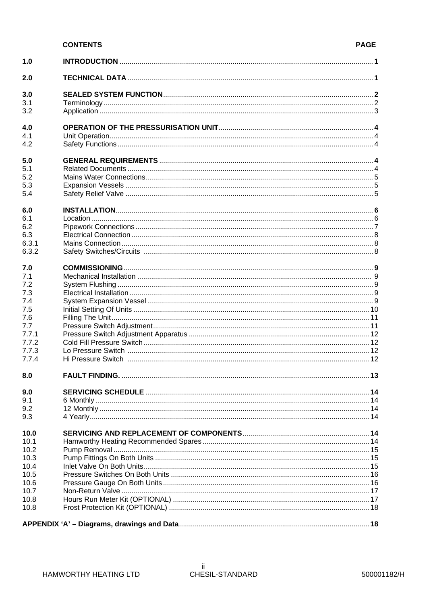#### **CONTENTS**

| 1.0          |                       |  |
|--------------|-----------------------|--|
| 2.0          |                       |  |
| 3.0          |                       |  |
| 3.1          |                       |  |
| 3.2          |                       |  |
|              |                       |  |
| 4.0          |                       |  |
| 4.1          |                       |  |
| 4.2          |                       |  |
| 5.0          |                       |  |
| 5.1          |                       |  |
| 5.2          |                       |  |
| 5.3          |                       |  |
| 5.4          |                       |  |
| 6.0          |                       |  |
| 6.1          |                       |  |
| 6.2          |                       |  |
| 6.3          |                       |  |
| 6.3.1        |                       |  |
| 6.3.2        |                       |  |
|              |                       |  |
| 7.0<br>7.1   |                       |  |
| 7.2          |                       |  |
| 7.3          |                       |  |
| 7.4          |                       |  |
| 7.5          |                       |  |
| 7.6          |                       |  |
| 7.7          |                       |  |
| 7.7.1        |                       |  |
| 7.7.2        |                       |  |
| 7.7.3        |                       |  |
| 7.7.4        |                       |  |
| 8.0          | <b>FAULT FINDING.</b> |  |
| 9.0          |                       |  |
| 9.1          |                       |  |
| 9.2          |                       |  |
| 9.3          |                       |  |
|              |                       |  |
| 10.0<br>10.1 |                       |  |
| 10.2         |                       |  |
| 10.3         |                       |  |
| 10.4         |                       |  |
| 10.5         |                       |  |
| 10.6         |                       |  |
| 10.7         |                       |  |
| 10.8         |                       |  |
| 10.8         |                       |  |
|              |                       |  |
|              |                       |  |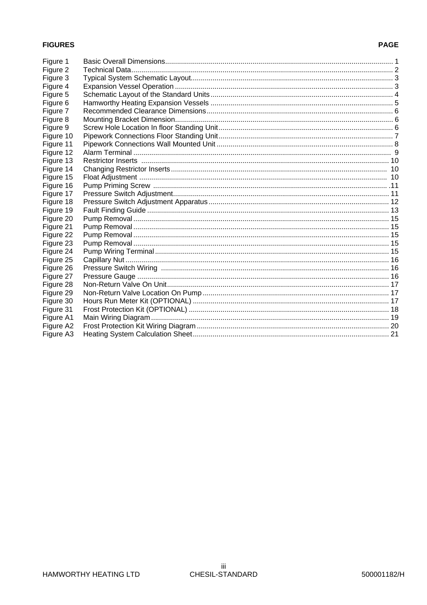#### **FIGURES**

#### **PAGE**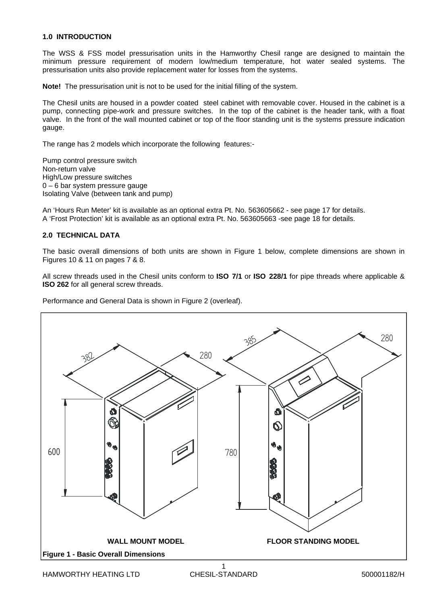#### **1.0 INTRODUCTION**

The WSS & FSS model pressurisation units in the Hamworthy Chesil range are designed to maintain the minimum pressure requirement of modern low/medium temperature, hot water sealed systems. The pressurisation units also provide replacement water for losses from the systems.

**Note!** The pressurisation unit is not to be used for the initial filling of the system.

The Chesil units are housed in a powder coated steel cabinet with removable cover. Housed in the cabinet is a pump, connecting pipe-work and pressure switches. In the top of the cabinet is the header tank, with a float valve. In the front of the wall mounted cabinet or top of the floor standing unit is the systems pressure indication gauge.

The range has 2 models which incorporate the following features:-

Pump control pressure switch Non-return valve High/Low pressure switches 0 – 6 bar system pressure gauge Isolating Valve (between tank and pump)

An 'Hours Run Meter' kit is available as an optional extra Pt. No. 563605662 - see page 17 for details. A 'Frost Protection' kit is available as an optional extra Pt. No. 563605663 -see page 18 for details.

#### **2.0 TECHNICAL DATA**

The basic overall dimensions of both units are shown in Figure 1 below, complete dimensions are shown in Figures 10 & 11 on pages 7 & 8.

All screw threads used in the Chesil units conform to **ISO 7/1** or **ISO 228/1** for pipe threads where applicable & **ISO 262** for all general screw threads.

Performance and General Data is shown in Figure 2 (overleaf).

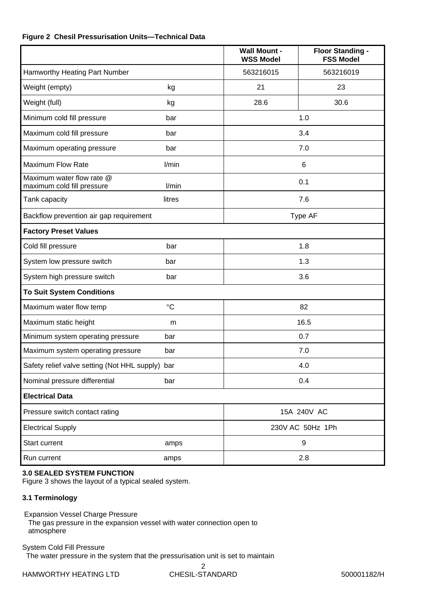#### **Figure 2 Chesil Pressurisation Units—Technical Data**

|                                                         |                 | <b>Wall Mount -</b><br><b>WSS Model</b> | <b>Floor Standing -</b><br><b>FSS Model</b> |
|---------------------------------------------------------|-----------------|-----------------------------------------|---------------------------------------------|
| Hamworthy Heating Part Number                           |                 | 563216015                               | 563216019                                   |
| Weight (empty)                                          | kg              | 21                                      | 23                                          |
| Weight (full)                                           | kg              | 28.6                                    | 30.6                                        |
| Minimum cold fill pressure                              | bar             |                                         | 1.0                                         |
| Maximum cold fill pressure                              | bar             |                                         | 3.4                                         |
| Maximum operating pressure                              | bar             |                                         | 7.0                                         |
| <b>Maximum Flow Rate</b>                                | l/min           |                                         | $\,6$                                       |
| Maximum water flow rate @<br>maximum cold fill pressure | l/min           |                                         | 0.1                                         |
| Tank capacity                                           | litres          |                                         | 7.6                                         |
| Backflow prevention air gap requirement                 |                 |                                         | Type AF                                     |
| <b>Factory Preset Values</b>                            |                 |                                         |                                             |
| Cold fill pressure                                      | bar             |                                         | 1.8                                         |
| System low pressure switch                              | bar             |                                         | 1.3                                         |
| System high pressure switch                             | bar             |                                         | 3.6                                         |
| <b>To Suit System Conditions</b>                        |                 |                                         |                                             |
| Maximum water flow temp                                 | $\rm ^{\circ}C$ |                                         | 82                                          |
| Maximum static height                                   | m               |                                         | 16.5                                        |
| Minimum system operating pressure                       | bar             |                                         | 0.7                                         |
| Maximum system operating pressure                       | bar             |                                         | 7.0                                         |
| Safety relief valve setting (Not HHL supply) bar        |                 |                                         | 4.0                                         |
| Nominal pressure differential                           | bar             |                                         | 0.4                                         |
| <b>Electrical Data</b>                                  |                 |                                         |                                             |
| Pressure switch contact rating                          |                 |                                         | 15A 240V AC                                 |
| <b>Electrical Supply</b>                                |                 |                                         | 230V AC 50Hz 1Ph                            |
| Start current                                           | amps            |                                         | 9                                           |
| Run current                                             | amps            |                                         | 2.8                                         |

#### **3.0 SEALED SYSTEM FUNCTION**

Figure 3 shows the layout of a typical sealed system.

#### **3.1 Terminology**

Expansion Vessel Charge Pressure

 The gas pressure in the expansion vessel with water connection open to atmosphere

System Cold Fill Pressure The water pressure in the system that the pressurisation unit is set to maintain

2 CHESIL-STANDARD 500001182/H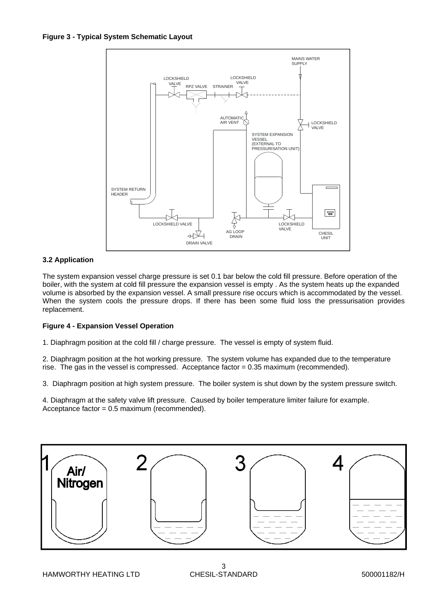

#### **3.2 Application**

The system expansion vessel charge pressure is set 0.1 bar below the cold fill pressure. Before operation of the boiler, with the system at cold fill pressure the expansion vessel is empty . As the system heats up the expanded volume is absorbed by the expansion vessel. A small pressure rise occurs which is accommodated by the vessel. When the system cools the pressure drops. If there has been some fluid loss the pressurisation provides replacement.

#### **Figure 4 - Expansion Vessel Operation**

1. Diaphragm position at the cold fill / charge pressure. The vessel is empty of system fluid.

2. Diaphragm position at the hot working pressure. The system volume has expanded due to the temperature rise. The gas in the vessel is compressed. Acceptance factor = 0.35 maximum (recommended).

3. Diaphragm position at high system pressure. The boiler system is shut down by the system pressure switch.

4. Diaphragm at the safety valve lift pressure. Caused by boiler temperature limiter failure for example. Acceptance factor = 0.5 maximum (recommended).

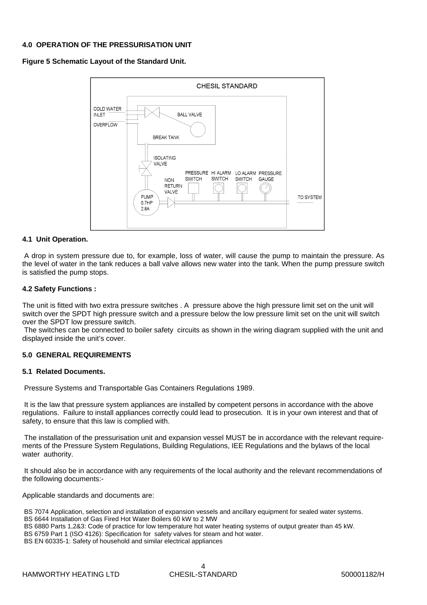#### **4.0 OPERATION OF THE PRESSURISATION UNIT**

**Figure 5 Schematic Layout of the Standard Unit.**



#### **4.1 Unit Operation.**

A drop in system pressure due to, for example, loss of water, will cause the pump to maintain the pressure. As the level of water in the tank reduces a ball valve allows new water into the tank. When the pump pressure switch is satisfied the pump stops.

#### **4.2 Safety Functions :**

The unit is fitted with two extra pressure switches . A pressure above the high pressure limit set on the unit will switch over the SPDT high pressure switch and a pressure below the low pressure limit set on the unit will switch over the SPDT low pressure switch.

 The switches can be connected to boiler safety circuits as shown in the wiring diagram supplied with the unit and displayed inside the unit's cover.

#### **5.0 GENERAL REQUIREMENTS**

#### **5.1 Related Documents.**

Pressure Systems and Transportable Gas Containers Regulations 1989.

 It is the law that pressure system appliances are installed by competent persons in accordance with the above regulations. Failure to install appliances correctly could lead to prosecution. It is in your own interest and that of safety, to ensure that this law is complied with.

 The installation of the pressurisation unit and expansion vessel MUST be in accordance with the relevant requirements of the Pressure System Regulations, Building Regulations, IEE Regulations and the bylaws of the local water authority.

 It should also be in accordance with any requirements of the local authority and the relevant recommendations of the following documents:-

Applicable standards and documents are:

 BS 7074 Application, selection and installation of expansion vessels and ancillary equipment for sealed water systems. BS 6644 Installation of Gas Fired Hot Water Boilers 60 kW to 2 MW BS 6880 Parts 1,2&3: Code of practice for low temperature hot water heating systems of output greater than 45 kW. BS 6759 Part 1 (ISO 4126): Specification for safety valves for steam and hot water. BS EN 60335-1: Safety of household and similar electrical appliances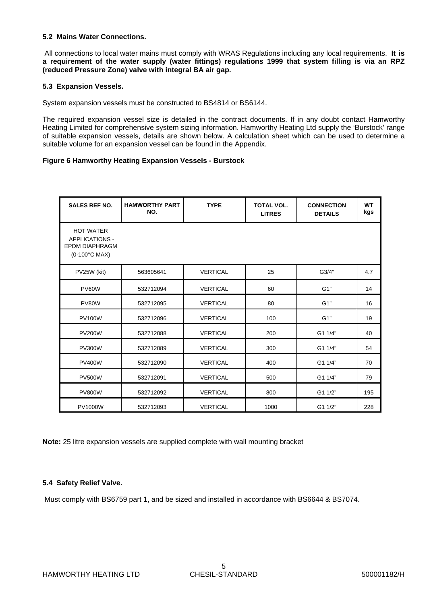#### **5.2 Mains Water Connections.**

 All connections to local water mains must comply with WRAS Regulations including any local requirements. **It is a requirement of the water supply (water fittings) regulations 1999 that system filling is via an RPZ (reduced Pressure Zone) valve with integral BA air gap.** 

#### **5.3 Expansion Vessels.**

System expansion vessels must be constructed to BS4814 or BS6144.

The required expansion vessel size is detailed in the contract documents. If in any doubt contact Hamworthy Heating Limited for comprehensive system sizing information. Hamworthy Heating Ltd supply the 'Burstock' range of suitable expansion vessels, details are shown below. A calculation sheet which can be used to determine a suitable volume for an expansion vessel can be found in the Appendix.

#### **Figure 6 Hamworthy Heating Expansion Vessels - Burstock**

| <b>SALES REF NO.</b>                                                                | <b>HAMWORTHY PART</b><br>NO. | <b>TYPE</b>     | <b>TOTAL VOL.</b><br><b>LITRES</b> | <b>CONNECTION</b><br><b>DETAILS</b> | <b>WT</b><br>kgs |
|-------------------------------------------------------------------------------------|------------------------------|-----------------|------------------------------------|-------------------------------------|------------------|
| <b>HOT WATER</b><br><b>APPLICATIONS -</b><br><b>EPDM DIAPHRAGM</b><br>(0-100°C MAX) |                              |                 |                                    |                                     |                  |
| PV25W (kit)                                                                         | 563605641                    | <b>VERTICAL</b> | 25                                 | G3/4"                               | 4.7              |
| <b>PV60W</b>                                                                        | 532712094                    | <b>VERTICAL</b> | 60                                 | G1"                                 | 14               |
| PV80W                                                                               | 532712095                    | <b>VERTICAL</b> | 80                                 | G1"                                 | 16               |
| <b>PV100W</b>                                                                       | 532712096                    | <b>VERTICAL</b> | 100                                | G1"                                 | 19               |
| <b>PV200W</b>                                                                       | 532712088                    | <b>VERTICAL</b> | 200                                | G1 1/4"                             | 40               |
| <b>PV300W</b>                                                                       | 532712089                    | <b>VERTICAL</b> | 300                                | G1 1/4"                             | 54               |
| <b>PV400W</b>                                                                       | 532712090                    | <b>VERTICAL</b> | 400                                | G1 1/4"                             | 70               |
| <b>PV500W</b>                                                                       | 532712091                    | <b>VERTICAL</b> | 500                                | G1 1/4"                             | 79               |
| <b>PV800W</b>                                                                       | 532712092                    | <b>VERTICAL</b> | 800                                | G1 1/2"                             | 195              |
| <b>PV1000W</b>                                                                      | 532712093                    | <b>VERTICAL</b> | 1000                               | G1 1/2"                             | 228              |

**Note:** 25 litre expansion vessels are supplied complete with wall mounting bracket

#### **5.4 Safety Relief Valve.**

Must comply with BS6759 part 1, and be sized and installed in accordance with BS6644 & BS7074.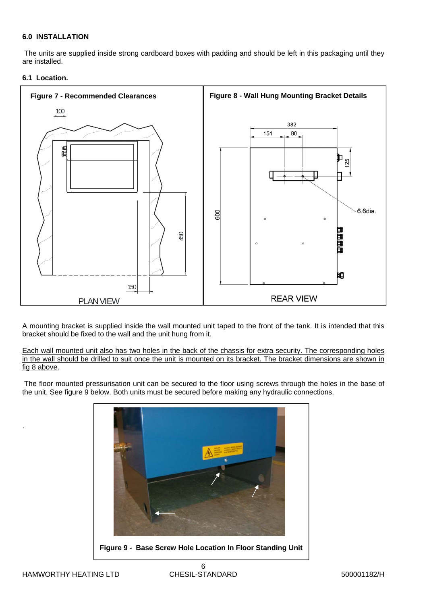#### **6.0 INSTALLATION**

 The units are supplied inside strong cardboard boxes with padding and should be left in this packaging until they are installed.

#### **6.1 Location.**



A mounting bracket is supplied inside the wall mounted unit taped to the front of the tank. It is intended that this bracket should be fixed to the wall and the unit hung from it.

Each wall mounted unit also has two holes in the back of the chassis for extra security. The corresponding holes in the wall should be drilled to suit once the unit is mounted on its bracket. The bracket dimensions are shown in fig 8 above.

 The floor mounted pressurisation unit can be secured to the floor using screws through the holes in the base of the unit. See figure 9 below. Both units must be secured before making any hydraulic connections.



.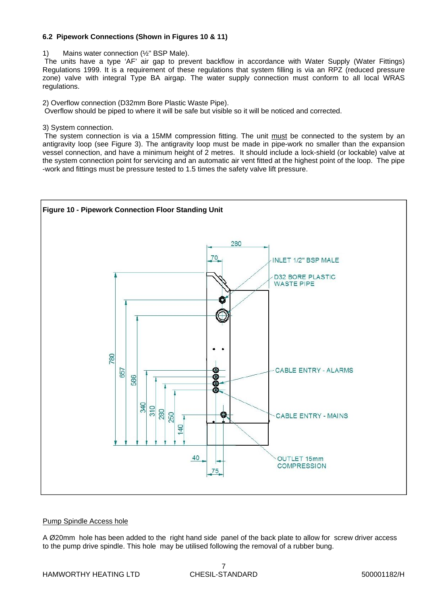#### **6.2 Pipework Connections (Shown in Figures 10 & 11)**

1) Mains water connection (½" BSP Male).

 The units have a type 'AF' air gap to prevent backflow in accordance with Water Supply (Water Fittings) Regulations 1999. It is a requirement of these regulations that system filling is via an RPZ (reduced pressure zone) valve with integral Type BA airgap. The water supply connection must conform to all local WRAS regulations.

2) Overflow connection (D32mm Bore Plastic Waste Pipe).

Overflow should be piped to where it will be safe but visible so it will be noticed and corrected.

3) System connection.

The system connection is via a 15MM compression fitting. The unit must be connected to the system by an antigravity loop (see Figure 3). The antigravity loop must be made in pipe-work no smaller than the expansion vessel connection, and have a minimum height of 2 metres. It should include a lock-shield (or lockable) valve at the system connection point for servicing and an automatic air vent fitted at the highest point of the loop. The pipe -work and fittings must be pressure tested to 1.5 times the safety valve lift pressure.



#### Pump Spindle Access hole

A Ø20mm hole has been added to the right hand side panel of the back plate to allow for screw driver access to the pump drive spindle. This hole may be utilised following the removal of a rubber bung.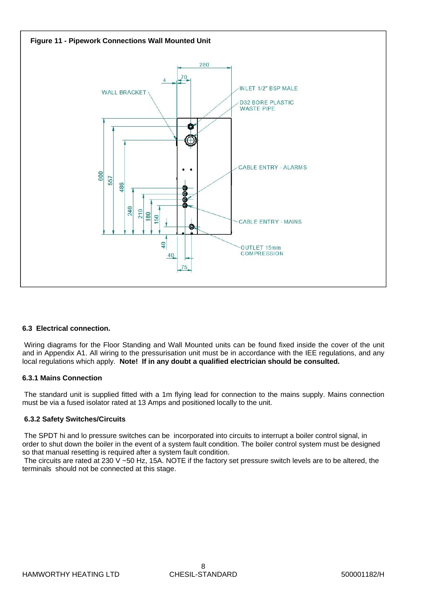

#### **6.3 Electrical connection.**

 Wiring diagrams for the Floor Standing and Wall Mounted units can be found fixed inside the cover of the unit and in Appendix A1. All wiring to the pressurisation unit must be in accordance with the IEE regulations, and any local regulations which apply. **Note! If in any doubt a qualified electrician should be consulted.** 

#### **6.3.1 Mains Connection**

 The standard unit is supplied fitted with a 1m flying lead for connection to the mains supply. Mains connection must be via a fused isolator rated at 13 Amps and positioned locally to the unit.

#### **6.3.2 Safety Switches/Circuits**

 The SPDT hi and lo pressure switches can be incorporated into circuits to interrupt a boiler control signal, in order to shut down the boiler in the event of a system fault condition. The boiler control system must be designed so that manual resetting is required after a system fault condition.

 The circuits are rated at 230 V ~50 Hz, 15A. NOTE if the factory set pressure switch levels are to be altered, the terminals should not be connected at this stage.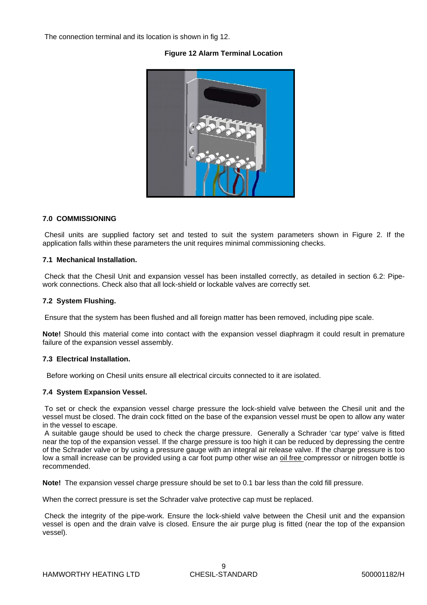The connection terminal and its location is shown in fig 12.

#### **Figure 12 Alarm Terminal Location**



#### **7.0 COMMISSIONING**

 Chesil units are supplied factory set and tested to suit the system parameters shown in Figure 2. If the application falls within these parameters the unit requires minimal commissioning checks.

#### **7.1 Mechanical Installation.**

 Check that the Chesil Unit and expansion vessel has been installed correctly, as detailed in section 6.2: Pipework connections. Check also that all lock-shield or lockable valves are correctly set.

#### **7.2 System Flushing.**

Ensure that the system has been flushed and all foreign matter has been removed, including pipe scale.

**Note!** Should this material come into contact with the expansion vessel diaphragm it could result in premature failure of the expansion vessel assembly.

#### **7.3 Electrical Installation.**

Before working on Chesil units ensure all electrical circuits connected to it are isolated.

#### **7.4 System Expansion Vessel.**

 To set or check the expansion vessel charge pressure the lock-shield valve between the Chesil unit and the vessel must be closed. The drain cock fitted on the base of the expansion vessel must be open to allow any water in the vessel to escape.

 A suitable gauge should be used to check the charge pressure. Generally a Schrader 'car type' valve is fitted near the top of the expansion vessel. If the charge pressure is too high it can be reduced by depressing the centre of the Schrader valve or by using a pressure gauge with an integral air release valve. If the charge pressure is too low a small increase can be provided using a car foot pump other wise an oil free compressor or nitrogen bottle is recommended.

**Note!** The expansion vessel charge pressure should be set to 0.1 bar less than the cold fill pressure.

When the correct pressure is set the Schrader valve protective cap must be replaced.

 Check the integrity of the pipe-work. Ensure the lock-shield valve between the Chesil unit and the expansion vessel is open and the drain valve is closed. Ensure the air purge plug is fitted (near the top of the expansion vessel).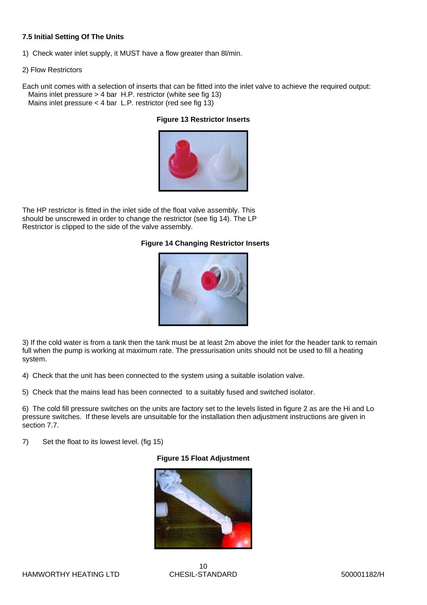#### **7.5 Initial Setting Of The Units**

- 1) Check water inlet supply, it MUST have a flow greater than 8l/min.
- 2) Flow Restrictors

Each unit comes with a selection of inserts that can be fitted into the inlet valve to achieve the required output: Mains inlet pressure > 4 bar H.P. restrictor (white see fig 13) Mains inlet pressure < 4 bar L.P. restrictor (red see fig 13)

#### **Figure 13 Restrictor Inserts**



The HP restrictor is fitted in the inlet side of the float valve assembly. This should be unscrewed in order to change the restrictor (see fig 14). The LP Restrictor is clipped to the side of the valve assembly.

#### **Figure 14 Changing Restrictor Inserts**



3) If the cold water is from a tank then the tank must be at least 2m above the inlet for the header tank to remain full when the pump is working at maximum rate. The pressurisation units should not be used to fill a heating system.

4) Check that the unit has been connected to the system using a suitable isolation valve.

5) Check that the mains lead has been connected to a suitably fused and switched isolator.

6) The cold fill pressure switches on the units are factory set to the levels listed in figure 2 as are the Hi and Lo pressure switches. If these levels are unsuitable for the installation then adjustment instructions are given in section 7.7.

7) Set the float to its lowest level. (fig 15)

#### **Figure 15 Float Adjustment**

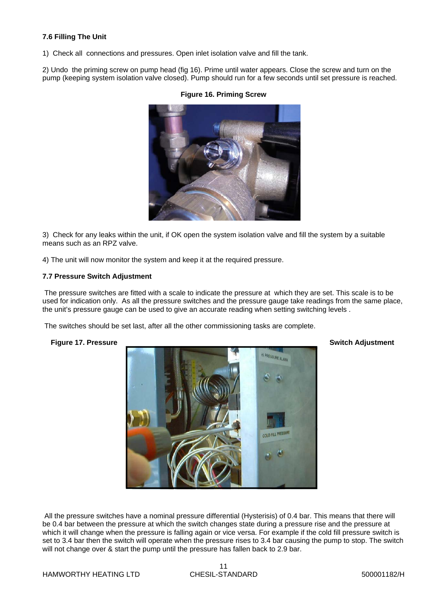#### **7.6 Filling The Unit**

1) Check all connections and pressures. Open inlet isolation valve and fill the tank.

2) Undo the priming screw on pump head (fig 16). Prime until water appears. Close the screw and turn on the pump (keeping system isolation valve closed). Pump should run for a few seconds until set pressure is reached.



#### **Figure 16. Priming Screw**

3) Check for any leaks within the unit, if OK open the system isolation valve and fill the system by a suitable means such as an RPZ valve.

4) The unit will now monitor the system and keep it at the required pressure.

#### **7.7 Pressure Switch Adjustment**

 The pressure switches are fitted with a scale to indicate the pressure at which they are set. This scale is to be used for indication only. As all the pressure switches and the pressure gauge take readings from the same place, the unit's pressure gauge can be used to give an accurate reading when setting switching levels .

The switches should be set last, after all the other commissioning tasks are complete.



All the pressure switches have a nominal pressure differential (Hysterisis) of 0.4 bar. This means that there will be 0.4 bar between the pressure at which the switch changes state during a pressure rise and the pressure at which it will change when the pressure is falling again or vice versa. For example if the cold fill pressure switch is set to 3.4 bar then the switch will operate when the pressure rises to 3.4 bar causing the pump to stop. The switch will not change over & start the pump until the pressure has fallen back to 2.9 bar.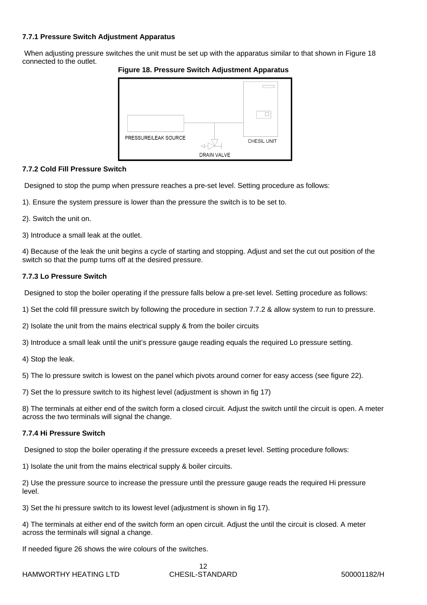#### **7.7.1 Pressure Switch Adjustment Apparatus**

When adjusting pressure switches the unit must be set up with the apparatus similar to that shown in Figure 18 connected to the outlet.



**Figure 18. Pressure Switch Adjustment Apparatus** 

#### **7.7.2 Cold Fill Pressure Switch**

Designed to stop the pump when pressure reaches a pre-set level. Setting procedure as follows:

- 1). Ensure the system pressure is lower than the pressure the switch is to be set to.
- 2). Switch the unit on.
- 3) Introduce a small leak at the outlet.

4) Because of the leak the unit begins a cycle of starting and stopping. Adjust and set the cut out position of the switch so that the pump turns off at the desired pressure.

#### **7.7.3 Lo Pressure Switch**

Designed to stop the boiler operating if the pressure falls below a pre-set level. Setting procedure as follows:

- 1) Set the cold fill pressure switch by following the procedure in section 7.7.2 & allow system to run to pressure.
- 2) Isolate the unit from the mains electrical supply & from the boiler circuits
- 3) Introduce a small leak until the unit's pressure gauge reading equals the required Lo pressure setting.
- 4) Stop the leak.

5) The lo pressure switch is lowest on the panel which pivots around corner for easy access (see figure 22).

7) Set the lo pressure switch to its highest level (adjustment is shown in fig 17)

8) The terminals at either end of the switch form a closed circuit. Adjust the switch until the circuit is open. A meter across the two terminals will signal the change.

#### **7.7.4 Hi Pressure Switch**

Designed to stop the boiler operating if the pressure exceeds a preset level. Setting procedure follows:

1) Isolate the unit from the mains electrical supply & boiler circuits.

2) Use the pressure source to increase the pressure until the pressure gauge reads the required Hi pressure level.

3) Set the hi pressure switch to its lowest level (adjustment is shown in fig 17).

4) The terminals at either end of the switch form an open circuit. Adjust the until the circuit is closed. A meter across the terminals will signal a change.

If needed figure 26 shows the wire colours of the switches.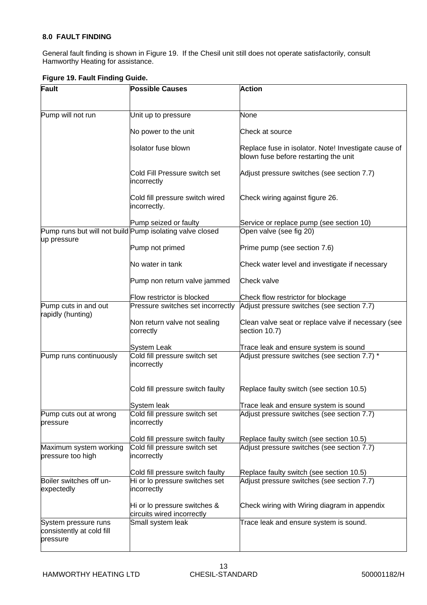#### **8.0 FAULT FINDING**

General fault finding is shown in Figure 19. If the Chesil unit still does not operate satisfactorily, consult Hamworthy Heating for assistance.

| Fault                                                         | <b>Possible Causes</b>                                     | <b>Action</b>                                                                                 |
|---------------------------------------------------------------|------------------------------------------------------------|-----------------------------------------------------------------------------------------------|
| Pump will not run                                             | Unit up to pressure                                        | None                                                                                          |
|                                                               | No power to the unit                                       | Check at source                                                                               |
|                                                               | Isolator fuse blown                                        | Replace fuse in isolator. Note! Investigate cause of<br>blown fuse before restarting the unit |
|                                                               | Cold Fill Pressure switch set<br>incorrectly               | Adjust pressure switches (see section 7.7)                                                    |
|                                                               | Cold fill pressure switch wired<br>incorrectly.            | Check wiring against figure 26.                                                               |
|                                                               | Pump seized or faulty                                      | Service or replace pump (see section 10)                                                      |
|                                                               | Pump runs but will not build Pump isolating valve closed   | Open valve (see fig 20)                                                                       |
| up pressure                                                   |                                                            |                                                                                               |
|                                                               | Pump not primed                                            | Prime pump (see section 7.6)                                                                  |
|                                                               | No water in tank                                           | Check water level and investigate if necessary                                                |
|                                                               | Pump non return valve jammed                               | Check valve                                                                                   |
|                                                               | Flow restrictor is blocked                                 | Check flow restrictor for blockage                                                            |
| Pump cuts in and out<br>rapidly (hunting)                     | Pressure switches set incorrectly                          | Adjust pressure switches (see section 7.7)                                                    |
|                                                               | Non return valve not sealing<br>correctly                  | Clean valve seat or replace valve if necessary (see<br>section 10.7)                          |
|                                                               | System Leak                                                | Trace leak and ensure system is sound                                                         |
| Pump runs continuously                                        | Cold fill pressure switch set<br>incorrectly               | Adjust pressure switches (see section 7.7) *                                                  |
|                                                               | Cold fill pressure switch faulty                           | Replace faulty switch (see section 10.5)                                                      |
|                                                               | System leak                                                | Trace leak and ensure system is sound                                                         |
| Pump cuts out at wrong<br>pressure                            | Cold fill pressure switch set<br>incorrectly               | Adjust pressure switches (see section 7.7)                                                    |
|                                                               | Cold fill pressure switch faulty                           | Replace faulty switch (see section 10.5)                                                      |
| Maximum system working<br>pressure too high                   | Cold fill pressure switch set<br>incorrectly               | Adjust pressure switches (see section 7.7)                                                    |
|                                                               | Cold fill pressure switch faulty                           | Replace faulty switch (see section 10.5)                                                      |
| Boiler switches off un-<br>expectedly                         | Hi or lo pressure switches set<br>incorrectly              | Adjust pressure switches (see section 7.7)                                                    |
|                                                               | Hi or lo pressure switches &<br>circuits wired incorrectly | Check wiring with Wiring diagram in appendix                                                  |
| System pressure runs<br>consistently at cold fill<br>pressure | Small system leak                                          | Trace leak and ensure system is sound.                                                        |

#### **Figure 19. Fault Finding Guide.**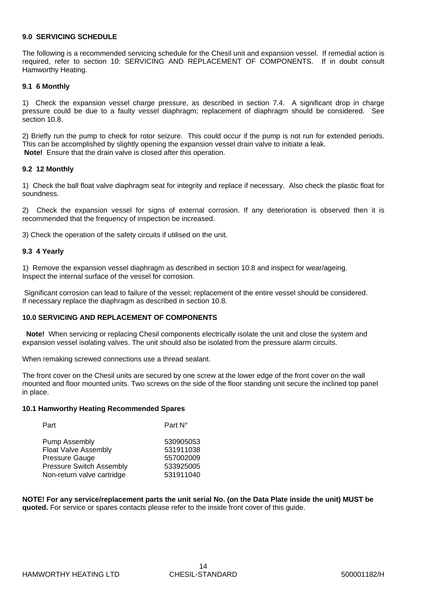#### **9.0 SERVICING SCHEDULE**

The following is a recommended servicing schedule for the Chesil unit and expansion vessel. If remedial action is required, refer to section 10: SERVICING AND REPLACEMENT OF COMPONENTS. If in doubt consult Hamworthy Heating.

#### **9.1 6 Monthly**

1) Check the expansion vessel charge pressure, as described in section 7.4. A significant drop in charge pressure could be due to a faulty vessel diaphragm; replacement of diaphragm should be considered. See section 10.8.

2) Briefly run the pump to check for rotor seizure. This could occur if the pump is not run for extended periods. This can be accomplished by slightly opening the expansion vessel drain valve to initiate a leak. **Note!** Ensure that the drain valve is closed after this operation.

#### **9.2 12 Monthly**

1) Check the ball float valve diaphragm seat for integrity and replace if necessary. Also check the plastic float for soundness.

2) Check the expansion vessel for signs of external corrosion. If any deterioration is observed then it is recommended that the frequency of inspection be increased.

3) Check the operation of the safety circuits if utilised on the unit.

#### **9.3 4 Yearly**

1) Remove the expansion vessel diaphragm as described in section 10.8 and inspect for wear/ageing. Inspect the internal surface of the vessel for corrosion.

 Significant corrosion can lead to failure of the vessel; replacement of the entire vessel should be considered. If necessary replace the diaphragm as described in section 10.8.

#### **10.0 SERVICING AND REPLACEMENT OF COMPONENTS**

**Note!** When servicing or replacing Chesil components electrically isolate the unit and close the system and expansion vessel isolating valves. The unit should also be isolated from the pressure alarm circuits.

When remaking screwed connections use a thread sealant.

The front cover on the Chesil units are secured by one screw at the lower edge of the front cover on the wall mounted and floor mounted units. Two screws on the side of the floor standing unit secure the inclined top panel in place.

#### **10.1 Hamworthy Heating Recommended Spares**

| Part                            | Part N°   |
|---------------------------------|-----------|
| <b>Pump Assembly</b>            | 530905053 |
| <b>Float Valve Assembly</b>     | 531911038 |
| Pressure Gauge                  | 557002009 |
| <b>Pressure Switch Assembly</b> | 533925005 |
| Non-return valve cartridge      | 531911040 |
|                                 |           |

**NOTE! For any service/replacement parts the unit serial No. (on the Data Plate inside the unit) MUST be quoted.** For service or spares contacts please refer to the inside front cover of this guide.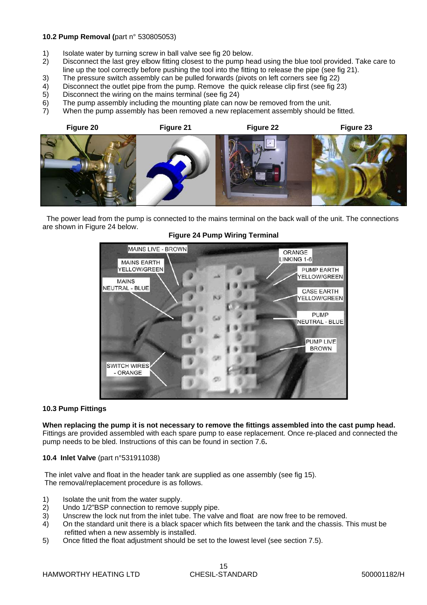#### **10.2 Pump Removal (**part n° 530805053)

- 1) Isolate water by turning screw in ball valve see fig 20 below.<br>2) Disconnect the last grey elbow fitting closest to the pump he
- 2) Disconnect the last grey elbow fitting closest to the pump head using the blue tool provided. Take care to line up the tool correctly before pushing the tool into the fitting to release the pipe (see fig 21).
- 3) The pressure switch assembly can be pulled forwards (pivots on left corners see fig 22)
- 4) Disconnect the outlet pipe from the pump. Remove the quick release clip first (see fig 23)<br>5) Disconnect the wiring on the mains terminal (see fig 24)
- 5) Disconnect the wiring on the mains terminal (see fig 24)
- 6) The pump assembly including the mounting plate can now be removed from the unit.
- 7) When the pump assembly has been removed a new replacement assembly should be fitted.



 The power lead from the pump is connected to the mains terminal on the back wall of the unit. The connections are shown in Figure 24 below.



#### **Figure 24 Pump Wiring Terminal**

#### **10.3 Pump Fittings**

**When replacing the pump it is not necessary to remove the fittings assembled into the cast pump head.** 

Fittings are provided assembled with each spare pump to ease replacement. Once re-placed and connected the pump needs to be bled. Instructions of this can be found in section 7.6**.** 

**10.4 Inlet Valve** (part n°531911038)

 The inlet valve and float in the header tank are supplied as one assembly (see fig 15). The removal/replacement procedure is as follows.

- 1) Isolate the unit from the water supply.<br>2) Undo 1/2"BSP connection to remove s
- Undo 1/2"BSP connection to remove supply pipe.
- 3) Unscrew the lock nut from the inlet tube. The valve and float are now free to be removed.
- 4) On the standard unit there is a black spacer which fits between the tank and the chassis. This must be refitted when a new assembly is installed.
- 5) Once fitted the float adjustment should be set to the lowest level (see section 7.5).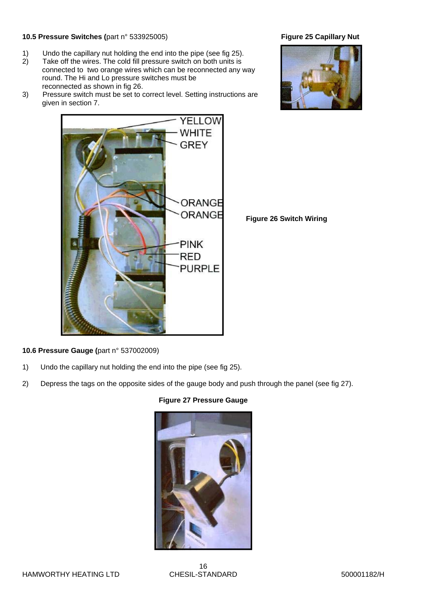#### **10.5 Pressure Switches (**part n° 533925005) **Figure 25 Capillary Nut**

- 1) Undo the capillary nut holding the end into the pipe (see fig 25).<br>2) Take off the wires. The cold fill pressure switch on both units is
- Take off the wires. The cold fill pressure switch on both units is connected to two orange wires which can be reconnected any way round. The Hi and Lo pressure switches must be reconnected as shown in fig 26.
- 3) Pressure switch must be set to correct level. Setting instructions are given in section 7.



 **Figure 26 Switch Wiring** 

**10.6 Pressure Gauge (**part n° 537002009)

- 1) Undo the capillary nut holding the end into the pipe (see fig 25).
- 2) Depress the tags on the opposite sides of the gauge body and push through the panel (see fig 27).

#### **Figure 27 Pressure Gauge**





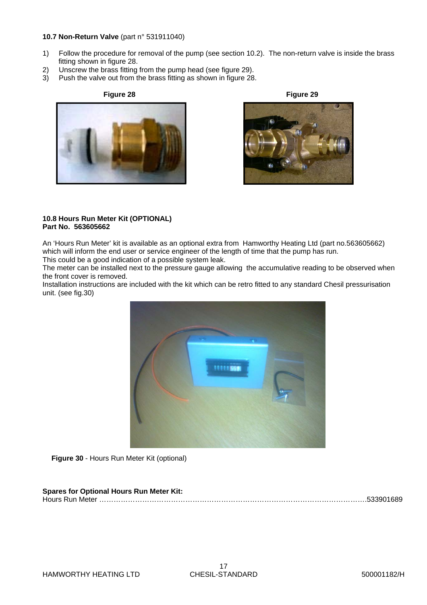#### **10.7 Non-Return Valve** (part n° 531911040)

- 1) Follow the procedure for removal of the pump (see section 10.2). The non-return valve is inside the brass fitting shown in figure 28.<br>2) Unscrew the brass fitting
- Unscrew the brass fitting from the pump head (see figure 29).
- 3) Push the valve out from the brass fitting as shown in figure 28.







#### **10.8 Hours Run Meter Kit (OPTIONAL) Part No. 563605662**

An 'Hours Run Meter' kit is available as an optional extra from Hamworthy Heating Ltd (part no.563605662) which will inform the end user or service engineer of the length of time that the pump has run.

This could be a good indication of a possible system leak.

The meter can be installed next to the pressure gauge allowing the accumulative reading to be observed when the front cover is removed.

Installation instructions are included with the kit which can be retro fitted to any standard Chesil pressurisation unit. (see fig.30)



**Figure 30** - Hours Run Meter Kit (optional)

#### **Spares for Optional Hours Run Meter Kit:**  Hours Run Meter ………………………………………………………………………………………………….533901689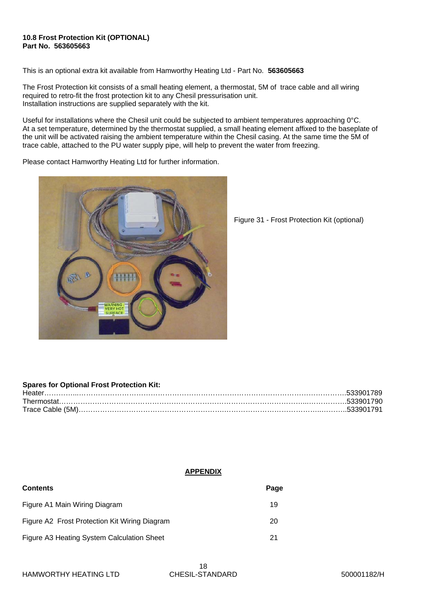#### **10.8 Frost Protection Kit (OPTIONAL) Part No. 563605663**

This is an optional extra kit available from Hamworthy Heating Ltd - Part No. **563605663** 

The Frost Protection kit consists of a small heating element, a thermostat, 5M of trace cable and all wiring required to retro-fit the frost protection kit to any Chesil pressurisation unit. Installation instructions are supplied separately with the kit.

Useful for installations where the Chesil unit could be subjected to ambient temperatures approaching 0°C. At a set temperature, determined by the thermostat supplied, a small heating element affixed to the baseplate of the unit will be activated raising the ambient temperature within the Chesil casing. At the same time the 5M of trace cable, attached to the PU water supply pipe, will help to prevent the water from freezing.

Please contact Hamworthy Heating Ltd for further information.



Figure 31 - Frost Protection Kit (optional)

#### **Spares for Optional Frost Protection Kit:**

| Heater |  |
|--------|--|
|        |  |
|        |  |

#### **APPENDIX**

| <b>Contents</b>                               | Page |
|-----------------------------------------------|------|
| Figure A1 Main Wiring Diagram                 | 19   |
| Figure A2 Frost Protection Kit Wiring Diagram | 20   |
| Figure A3 Heating System Calculation Sheet    | 21   |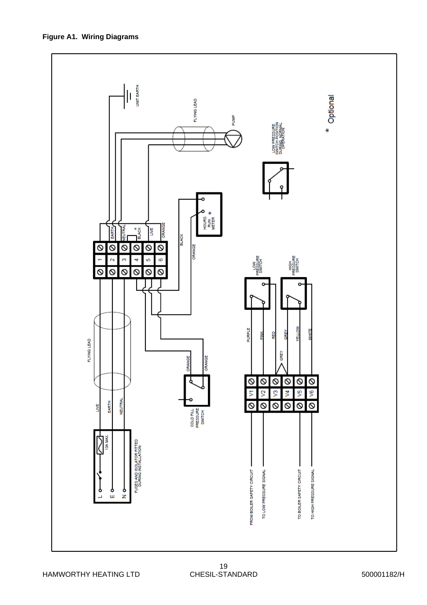\* Optional FLYING LEAD BUMP LOW PRESSURE<br>WITCH POSITION<br>UBURG NORWAL HOURS<br>RUM<br>METER ORANGE  $\frac{*}{8}$ FILTRA LIVE EARTH **BLACK** ଡ  $\overline{\circ}$ ø ଡ ଡ Ø ORANGE HIGH<br>RESSURE<br>SWITCH  $\mathbf{\hat{z}}$  $\mathcal{O}$ ų io,  $\ddot{\circ}$ LOW<br>RESSUR<br>SWITCH  $\overline{8}$  $\overline{\circ}$  $\overline{\circ}$  $\overline{\circ}$  $\overline{\circ}$  $\overline{\circ}$ **PURPLE** Ē FLYING LEAD GREY **RANCF DRANGE** ø ଡ  $\overline{\circ}$ Ø Ø ଡ y3 يع 2 ₹ Š, 5 NEUTRA EARTH ଡ 0 Ø Ø  $\overline{\circ}$  $\overline{6}$ **S** COLD FILL<br>PRESSURE<br>SWITCH 隧 FUSES AND ISOLATOR FITTED<br>DURING INSTALLATION TO BOILER SAFETY CIRCUIT FROM BOILER SAFETY CIRCUIT TO LOW PRESSURE SIGNAL TO HIGH PRESSURE SIGNAL Î,  $\frac{1}{6}$ ն<br>Գ ┙

 $\frac{1}{\sqrt{2}}$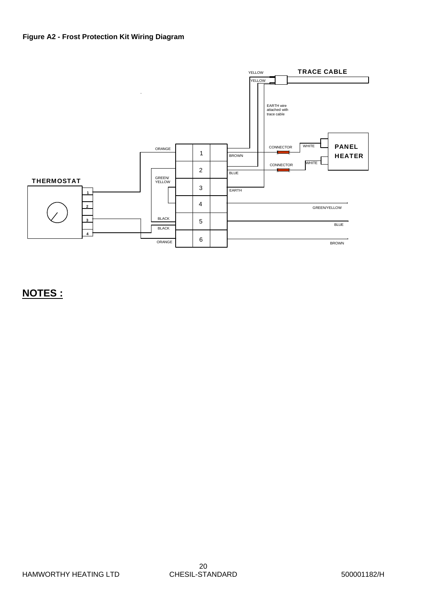#### **Figure A2 - Frost Protection Kit Wiring Diagram**



## **NOTES :**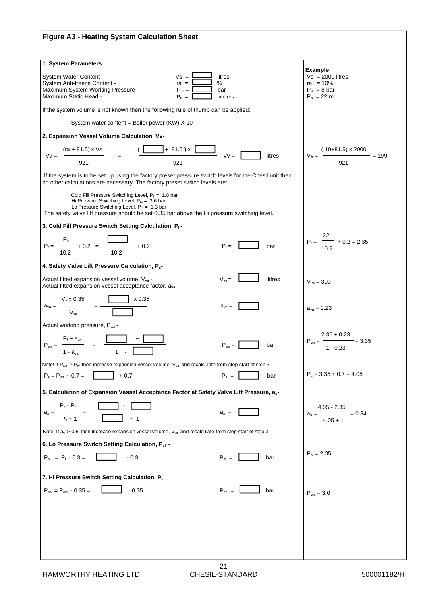| <b>Figure A3 - Heating System Calculation Sheet</b>                                                                                                                                                                                                       |                                                                              |
|-----------------------------------------------------------------------------------------------------------------------------------------------------------------------------------------------------------------------------------------------------------|------------------------------------------------------------------------------|
| 1. System Parameters                                                                                                                                                                                                                                      |                                                                              |
| $Vs =$<br>litres<br>System Water Content -<br>System Anti-freeze Content -<br>$ra =$<br>%<br>Maximum System Working Pressure -<br>$P_w =$<br>bar<br>Maximum Static Head -<br>$P_h =$<br>metres                                                            | Example<br>$Vs = 2000$ litres<br>$ra = 10%$<br>$P_w = 8$ bar<br>$P_h = 22 m$ |
| If the system volume is not known then the following rule of thumb can be applied:                                                                                                                                                                        |                                                                              |
| System water content = Boiler power (KW) X 10                                                                                                                                                                                                             |                                                                              |
| 2. Expansion Vessel Volume Calculation, Vv-                                                                                                                                                                                                               |                                                                              |
| $+ 81.5$ ) x<br>(ra + 81.5) x Vs<br>$Vv =$<br>litres<br>$Vv =$<br>921<br>921                                                                                                                                                                              | $(10+81.5) \times 2000$<br>$= 199$<br>$Vv =$<br>921                          |
| If the system is to be set up using the factory preset pressure switch levels for the Chesil unit then<br>no other calculations are necessary. The factory preset switch levels are:                                                                      |                                                                              |
| Cold Fill Pressure Switching Level, $P_f = 1.8$ bar<br>Hi Pressure Switching Level, $P_{hi} = 3.6$ bar<br>Lo Pressure Switching Level, $P_{10} = 1.3$ bar<br>The safety valve lift pressure should be set 0.35 bar above the Hi pressure switching level. |                                                                              |
| 3. Cold Fill Pressure Switch Setting Calculation, Pf-                                                                                                                                                                                                     |                                                                              |
| P <sub>h</sub><br>$- +0.2 = \frac{\sqrt{2}}{2}$<br>$+0.2$<br>$P_f =$<br>$P_1 = -$<br>bar<br>10.2<br>10.2                                                                                                                                                  | 22<br>$P_f =$ $-$ + 0.2 = 2.35<br>10.2                                       |
| 4. Safety Valve Lift Pressure Calculation, P <sub>s</sub> -                                                                                                                                                                                               |                                                                              |
| Actual fitted expansion vessel volume, V <sub>va</sub> -<br>$V_{va} =$<br>litres<br>Actual fitted expansion vessel acceptance factor, a <sub>va</sub> -                                                                                                   | $V_{va} = 300$                                                               |
| x 0.35<br>$V_{v}$ x 0.35<br>$a_{va} =$<br>$a_{\rm va} =$<br>$V_{va}$                                                                                                                                                                                      | $a_{va} = 0.23$                                                              |
| Actual working pressure, Pwa-                                                                                                                                                                                                                             |                                                                              |
| $P_f + a_{va}$<br>$P_{wa} = -$<br>$P_{wa} =$<br>bar<br>1 - a <sub>va</sub>                                                                                                                                                                                | $2.35 + 0.23$<br>$P_{wa} = -$<br>$= 3.35$<br>$1 - 0.23$                      |
| Note! If $P_{wa} > P_w$ then increase expansion vessel volume, $V_{va}$ and recalculate from step start of step 3                                                                                                                                         |                                                                              |
| $P_s = P_{wa} + 0.7 =$<br>$+0.7$<br>$P_s =$<br>bar                                                                                                                                                                                                        | $P_s = 3.35 + 0.7 = 4.05$                                                    |
| 5. Calculation of Expansion Vessel Acceptance Factor at Safety Valve Lift Pressure, as-                                                                                                                                                                   |                                                                              |
| $\mathsf{P}_\mathsf{s}$ - $\mathsf{P}_\mathsf{f}$<br>$a_s =$<br>$a_s =$<br>$P_s + 1$                                                                                                                                                                      | 4.05 - 2.35<br>$= 0.34$<br>$a_{s} = -$<br>$4.05 + 1$                         |
| Note! If $a_s > 0.5$ then increase expansion vessel volume, $V_{va}$ and recalculate from step start of step 3                                                                                                                                            |                                                                              |
| 6. Lo Pressure Switch Setting Calculation, P <sub>sl</sub> -                                                                                                                                                                                              |                                                                              |
| $P_{sl} = P_f - 0.3 =$<br>$P_{sl}$ =<br>$-0.3$<br>bar                                                                                                                                                                                                     | $P_{\rm{sl}} = 2.05$                                                         |
| 7. Hi Pressure Switch Setting Calculation, Psi.                                                                                                                                                                                                           |                                                                              |
| $P_{\text{sh}} = P_{\text{wa}} - 0.35 =$<br>$P_{\rm sh}$ =<br>$-0.35$<br>bar                                                                                                                                                                              | $P_{wa} = 3.0$                                                               |
|                                                                                                                                                                                                                                                           |                                                                              |
|                                                                                                                                                                                                                                                           |                                                                              |
|                                                                                                                                                                                                                                                           |                                                                              |
|                                                                                                                                                                                                                                                           |                                                                              |
|                                                                                                                                                                                                                                                           |                                                                              |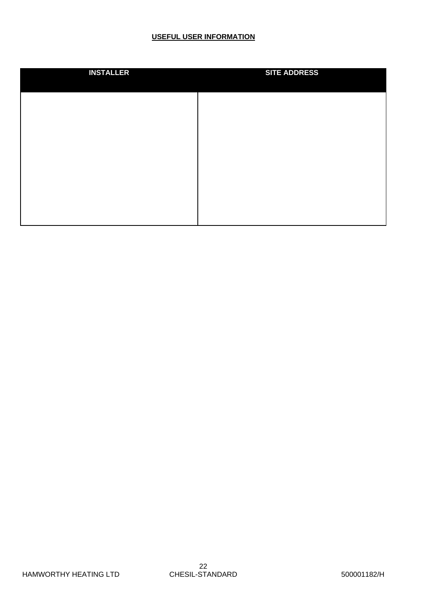#### **USEFUL USER INFORMATION**

| <b>INSTALLER</b> | <b>SITE ADDRESS</b> |
|------------------|---------------------|
|                  |                     |
|                  |                     |
|                  |                     |
|                  |                     |
|                  |                     |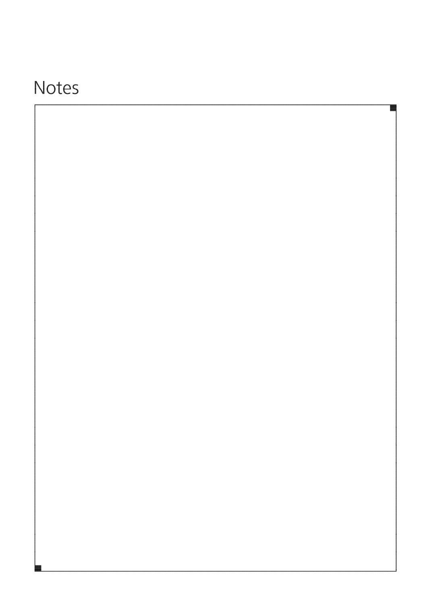# Notes